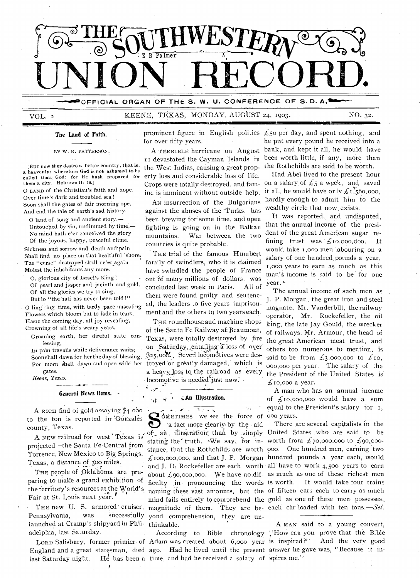

OFFICIAL ORGAN OF THE S. W. U. CONFERENCE OF S.D. A.<sup>1</sup>

VOL. 2 KEENE, TEXAS, MONDAY, AUGUST 24, 1903. NO. 32.

#### **The Land of Faith.**

1.121111E1=5.7

BY W. R. PATTERSON,

[RUT now they desire a better country , I hat is, a heavenly: wherefore Ged is not ashamed to be called their God: for He hath prepared for them a city. Hebrews 11: 16.] O LAND of the Christian's faith and hope, Over time's dark and troubled sea!

Soon shall the gates of fair morning ope, And end the tale of earth's sad history. O land of song and ancient story,—

Untouched by sin, undimmed by time,— No mind hath e'er conceived the glory Of the joyous, happy, peaceful clime.

Sickness and sorrow and death and' pain Shall find no place on that healthful 'shore, The "curse" destroyed shall ne'er again Molest the inhabitants any more.

0, glorious city of Israel's King !— Of pearl and jasper and jacinth and gold, Of all the glories we try to sing,

But lo "the half has never been told !"

- 0 ling'ring time, with tardy .pace unsealing Flowers which bloom but to fade in tears, Haste the coming day, all joy revealing, Crowning of all life's weary years.

Groaning earth, her direful state confessing,

In pain travails while deliverance waits; gates.

*.Keene, Texas.* 

#### **General News Items.**

A RICH find of gold assaying \$4,obo to the ton is reported in Gonzales county, Texas.

A NEW railroad for west Texas is projected—the Santa Fe-Central from Torrence, New Mekico to Big Springs, Texas, a distance of 300 miles.

THE people of Oklahoma are preparing to make a grand exhibition of the territory's resources at the World's Fair at St. Louis next year.

launched at Cramp's shipyard in Phil- thinkable. THE new U. S. armored cruiser, Pennsylvania, was successfully adelphia, last Saturday.

last Saturday night.

prominent figure in English politics  $\mathcal L$ 50 per day, and spent nothing, and for over fifty years.

A TERRIBLE hurricane on August it devastated the Cayman Islands in the West Indias, causing a great property loss and considerable loss of life. Crops were totally destroyed, and famine is imminent without outside help.

AN insurrection of the Bulgarians against the abuses of the 'Turks, has been brewing for some time, and open fighting is going on in the Balkan mountains. War between the two countries is quite probable.

THE trial of the famous Humbert family of swindlers, who it is claimed have swindled the people of France out of many millions of dollars, was concluded last week in Paris. All of them were found guilty and Sentenced, the leaders to five years imprisonment and the others to two years each.

Soon shall dawn for her the day of blessing,  $\frac{3}{2}25,000$ , Seven locomotives were des-For morn shall dawn and open wide her troyed-or greatly damaged, which is THE roundhouse and machine shops of the Santa Fe Railway at Beaumont, Texas, were totally destroyed by fire on Saturday, entailing a loss of over a heavy loss to the railroad as every locomotive is needed just now.

#### **,;.An Illustration.**  č.

 $\mathbf{r} = \mathbf{r} \times \mathbf{r}$  . The set of  $\mathbf{r}$ CO OMETIMES we see the force of 000 years. a fact more clearly by the aid of an illustration, than by simply United States who are said to be stating the truth. We say, for in worth from  $\pounds$ 70,000,000 to  $\pounds$ 90,000stance, that the Rothchilds are worth 000. One hundred men, earning two magnitude of them. They are be- each car loaded with ten tons.--Sel. yond comprehension, they are un-

LORD Salisbury, former primier of Adam was created about 6,000 year England and a great statesman, died ago. Had he lived until the present answer he gave was, ''Because it intime, and had lie received a salary of spires me."

he put every pound he received into a bank, and kept it all, he' would have been worth little, if any, more than the Rothchilds are said to be worth.

Had Abel lived to the present hour on a salary of  $\mathcal{L}_5$  a week, and saved it all, he would have only  $\mathcal{L}$  1,560,000, hardly enough to admit him to the wealthy circle that now exists.

It was reported, and undisputed, that the annual income of the president of the great American sugar refining trust was  $f<sub>10,000,000</sub>$ . It would take i ,000 men labouring on a salary of one hundred pounds a year, 1,060 years to earn as much as this man's income is said to be- for one year.

The annual income of such men as J. P. Morgan, the great iron and steel magnate., Mr. Vanderbilt, the railway operator, Mr. Rockefeller, the oil king, the late Jay Gould, the wrecker of railways, Mr. Armour, the head of the great American meat trust, and others too numerous to mention, is said to be from  $\text{\emph{£}}3,000,000$  to  $\text{\emph{£}}10,$ 000,000 per year. The salary of the the President of the United States is  $f_{10,000}$  a year.

A man who has an annual income of  $f_{10,000,000}$  would have a sum equal to the President's salary for

 $f_{\text{100,000,000}}$ , and that J. P. Morgan hundred pounds a year each, would and J. D. Rockefeller are each worth all have to work 4,500 years to earn about  $\pounds$ 90,000,000. We have no dif- as much as one of these richest men ficulty .in- pronouncing the words is worth. It would take four trains naming these vast amounts, but the of fifteen cars each to carry as much mind fails entirely to comprehend the gold as one of these men possesses, There are several capitalists in the

According to Bible chronology "How can you prove that the Bible A MAN said to a young convert, And the very good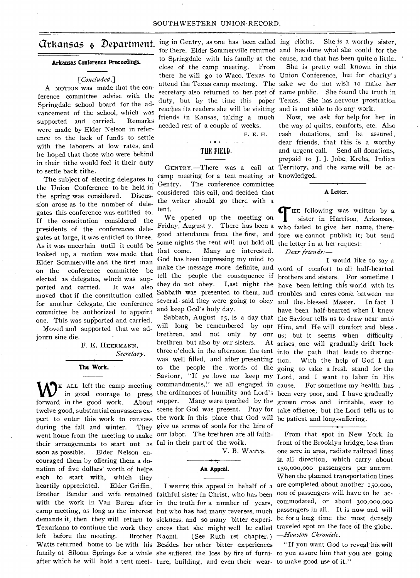### **Arkansas Conference Proceedings.**

#### *[Concluded.]*

A MOTION was made that the conference committee advise with the Springdale school board for the advancement of the school, which was supported and carried.. Remarks were made by Elder Nelson in reference to the lack of funds to settle with the laborers at low rates, and he hoped that those who were behind in their tithe would feel it their duty to settle back tithe.

The subject of electing delegates to the Union Conference to be held in the spring was considered. Discussion arose as to the number of delegates this conference was entitled to. If the constitution considered the presidents of the conferences delegates at large, it was entitled to three. As it was uncertain until it could be looked up, a motion was made that Elder Sommerville and the first man on the conference committee be elected as delegates, which was supported and carried. It was also moved that if the constitution called for another delegate, the conference committee be authorized to appoint one. This was supported and carried.

Moved and supported that we adjourn sine die.

> F. E. HEERMANN, *Secretary.*

# **The Work.**

forward in the good work. pect to enter this work to canvass the work in this place that God will be patient and long-suffering. during the fall and winter. They give us scores of souls for the hire of went home from the meeting to make our labor. The brethren are all faiththeir arrangements to start out as ful in their part of the work. soon as possible. Elder Nelson encouraged them by offering them a donation of five dollars' worth of helps each to start with, which they heartily appreciated. Elder Griffin, Brother Bender and wife remained faithful sister in Christ, who has been with the work in Van Buren after in the truth for a number of years, camp meeting, as long as the interest but who has had many reverses, much passengers in all. It is now and will demands it, then they will return to sickness, and so many bitter experi-be for a long time the most densely Texarkana to continue the work they ences that she might well be called traveled spot on the face of the globe. left before the meeting. Brother Naomi. Watts returned home to be with his Besides her other bitter experiences family at Siloam Springs for a while she suffered the loss by fire of furni-to you assure him that you are going

 $\alpha$ rkansas  $\ast$  Department.  $\frac{\text{ing in Gentry}}{\text{for then Senyus}(\text{all})}$ close of the camp meeting. From reaches its readers she will be visiting and is not able to do any work. friends in Kansas, taking a much needed rest of a couple of weeks.

F. E. H.

# **THE FIELD.**

camp meeting for a tent meeting at knowledged. Gentry. The conference committee considered this call, and decided that the writer should go there with a tent.

We opened up the meeting on some nights the tent will not hold all the letter in at her request: that come. Many are interested. God has been impressing my mind to and keep God's holy day.

brethren but also by our sisters. three o'clock in the afternoon the tent into the path that leads to distrucwas well filled, and after presenting

V. B. WATTS.

**An Appeal.** 

after which he will hold a tent meet- ture, building, and even their wear- to make good use of it." I WRITE this appeal in behalf of a  $(See$  Ruth ist chapter.)

for there. Elder Sommerville returned and has done what she could for the to Springdale with his family at the cause, and that has been quite a little. there he will go to Waco, Texas to Union Conference, but for charity's attend the Texas camp meeting. The sake we do not wish to make her secretary also returned to her. post of name public. She found the truth in duty, but by the time this paper Texas. She has nervous prostration She is a worthy sister, She is pretty well known in this

GENTRY.—There was a call at Territory, and the same will be ac-Now, we ask for help\_for her in the way of quilts, comforts, etc. Also cash donations, and be assured, dear friends, that this is a worthy and urgent call. Send all donations, prepaid to J. J. Jobe, Krebs, Indian



tent.<br>
We opened up the meeting on  $\bigcap_{s=1}^{\infty}$  HE following was written by a<br>
Friday, August 7. There has been a who failed to give her name, theregood attendance from the first, and fore we cannot publish it; but send HE following was written by a sister in Harrison, Arkansas, *Dear friends:—* 

 $\sum_{\text{EALL}}$  a.u. left the camp meeting commandments," we all engaged in cause. For sometime my health has in good courage to press the ordinances of humility and Lord's been very poor, and I have gradually twelve good, substantial canvassers ex- scene for God was present. Pray for take offience; but the Lord tells us to make the message more definite, and word of comfort to all half-hearted tell the people the consequence if brothers and sisters. For sometime I they do not obey. Last night the have been letting this world with its Sabbath was presented to them, and troubles and cares come between me several said they were going to obey and the. blessed Master. In fact I Sabbath, August 15, is a day that the Saviour tells us to draw near unto will long be remembered by our Him, and He will comfort and bless brethren, and not only by our us; but it seems when difficulty to the people the words of the going to take a fresh stand for the Saviour, "If ye love me keep my Lord, and I want to labor in His commandments," we all engaged in cause. For sometime my health has supper. Many were touched by the grown cross and irritable, easy to *I* would like to say a have been half-hearted when I knew At arises, one will gradually drift back With the help of God I am

> From that spot in New York in front of the Brooklyn bridge, less than one acre in area, radiate railroad lines in all direction, which carry about 15o,000,00o passengers per annum. When the planned transportation lines are completed about another 150,000, 000 of passengers will have to be accommodated, or about 300,000,000 *—Houston Chronicle.*

"If you want God to reveal his will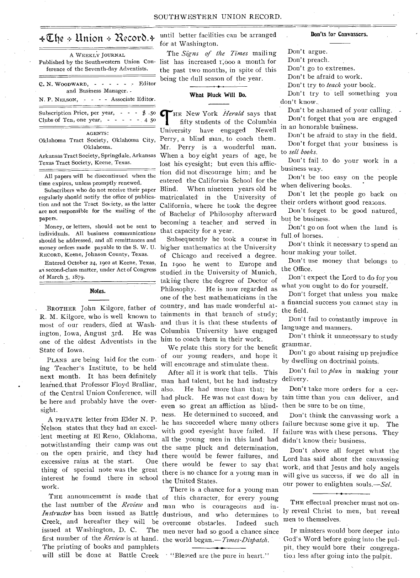| A WEEKLY JOURNAL<br>Published by the Southwestern Union Con-<br>ference of the Seventh-day Adventists.     |
|------------------------------------------------------------------------------------------------------------|
| $C. N. WooDWARD, - - - - - - -$ Editor<br>and Business Manager. .<br>N. P. NELSON, - - - Associate Editor. |
| Subscription Price, per year, $-  \frac{1}{2}$ .50<br>Clubs of Ten, one year, $- - - - - 4$ 50             |
| <b>AGENTS:</b><br>Oklahoma Tract Society, Oklahoma City,<br>Oklahoma.                                      |

Arkansas Tract Society, Springdale, Arkansas Texas Tract Society, Keene, Texas.

All papers will be discontinued when the time expires, unless promptly renewed.

Subscribers who do not receive their paper regularly should notify the office of publication and not the Tract Society, as the latter are not responsible for the mailing of the papers.

Money, or letters, should not be sent to individuals. All business communications should be addressed, and all remittances and RECORD, Keene, Johnson County, Texas.

Entered October 24, 1902 at Keene, Texas, as second-class matter, under Act of Congress of March 3, 1879.

#### Notes.

BROTHER John Kilgore, father of R. M. Kilgore, who is well known to most of our readers, died at Washington, Iowa, August 3rd. He was one of the oldest Adventists in the him to coach them in their work. State of Iowa.

PLANS are being laid for the coming Teacher's Institute, to be held next month. It has been definitely learned.that Professor Floyd Bralliar, of the Central Union Conference, will be here and probably have the oversight.

A PRIVATE letter from Elder N. P. Nelson states that they had an excellent meeting at El Reno, Oklahoma, notwithstanding their camp was out on the open prairie, and they had excessive rains at the start. One thing of special note was the great interest he found there in school work.

the last number of the *Review* and issued at Washington, D. C. first number of the *Review* is at hand. the world began.—*Times-Dispatch.*  The printing of books and pamphlets will still be done at Battle Creek "Blessed are the pure in heart."

 $\angle \mathbb{C}$ he  $\div$  Union  $\div$  Record.  $\div$  until better facilities can be arranged for at Washington.

> The *Signs of the Times* mailing list has increased  $i,000$  a month for the past two months, in spite of this being the dull season of the year.

### What Pluck Will Do.

THE New York *Herald* says that<br>
fifty students of the Columbia<br>
University have engaged Newell HE New York *Herald* says that fifty students of the Columbia Perry, a blind man, to coach them. Mr. Perry is a wonderful man. When a boy eight years of age, he lost his eyesight; but even this affliction did not discourage him; and he entered the California School for the Blind. When nineteen years old he matriculated-in the University of California, where he took the degree of Bachelor of Philosophy afterward becoming a teacher and served in that capacity for a year.

money orders made payable to the S. W. U. higher mathematics at the University Subsequently he took a course in of Chicago and received a degree. In 1900 he went to Europe and studied in the University of Munich, taking there the degree of Doctor of Philosophy. He is now regarded as one of the best mathematicians in the country, and has made wonderful attainments in that branch of study; and thus it is that these students of Columbia University have engaged

> We relate this story for the benefit of our young readers, and hope it will encourage and stimulate them.

After all it is work that tells. This man had talent, but he had industry also. He had more than that; he had pluck. He was not cast down by even so great an affliction as blindness. He determined to succeed, and he has succeeded where many others with good eyesight have failed. If all the young men in this land had the same pluck and determination, there would be fewer to say that there is no chance for a young man in the United States.

THE announcement is made that of this character, for every young *Instructor* has been issued as Battle dustrious, and who determines to Creek, and hereafter they will be overcome obstacles. Indeed such There is a chance for a young man man who is courageous and in-The men never had so good a chance since

#### Don'ts for Canvassers.

Don't argue.

Don't preach.

Don't go to extremes.

Don't be afraid to work.

Don't try to *teach* your book.

Don't try to tell something you

don't know.

Don't be ashamed of your calling. -

Don't forget that you are engaged in an honorable business.

Don't be afraid to stay in the field. Don't forget that your business is to *sell books.* 

Don't fail .to do your work in a business way.

Don't be too easy on the people when delivering books.

Don't let the people go back on their orders without good reasons.

Don't forget to be good natured, but be business.

Don't go on foot when the land is full.of horses.

Don't think it necessary to spend an hour making your toilet.

Don't use money that belongs to the Office.

Don't expect the Lord to do for you what you ought to do for yourself.

Don't forget that unless you make a financial success you cannot stay in the field.

Don't fail to constantly improve in language and manners.

Don't think it unnecessary to study grammar.

Don't go about raising up prejudice by dwelling on doctrinal points.

Don't fail to *plan* in making your delivery.

Don't take more orders for a certain time than you can deliver, and then be sure to be on time,

Don't think the canvassing work a failure because some give it up. The failure was with these persons. They didn't know their business.

there would be fewer failures, and Lord has said about the canvassing Don't above all forget what the work, and that Jesus and holy angels will give us success, if we do all in our power to enlighten souls.-Sel.

> THE effectual preacher must not only reveal Christ to men, but reveal men to themselves.

> IP minsters would bore deeper into God's Word before going into the pulpit, they would bore their congregatiou less after going into the pulpit.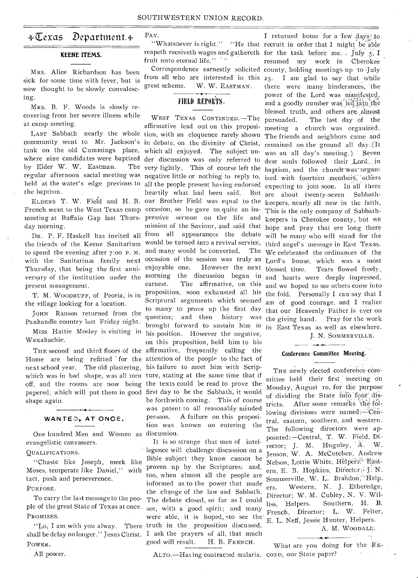# $\div \overline{\mathbb{C}}$ exas Department. $\div$

## KEENE ITEMS.

MRS. Alice Richardson has been sick for some time with fever, but is now thought to be slowly convalescing.

MRS. B. F. Woods is slowly recovering from her severe illness while at camp meeting.

by Elder W. W. Eastman. the baptism.

day morning.

to spend the evening after 7:00 P. M. Thursday, that being the first anni- enjoyable one. present management.

• T. M. WOODRUFF, of Peoria, is in the village looking for a location.

JOHN Ranson returned from the Panhandle country last Friday night.

MISS Hattie Mosley is visiting in Waxahachie.

next school year. The old plastering, his failure to meet him with Scripshape again.

WANTED, AT ONCE.

One hundred Men and Women as discussion. evangelistic canvassers.

#### QUALIFICATIONS.

"Chaste like Joseph, meek like Moses, temperate like Daniel," with tact, push and perseverence. PURPOSE.

To carry the last message to the peo-PROMISES.

shall be delay no longer." Jesus Christ. I ask the prayers of all, that much POWER.

Ail power.

PAY.

reapeth receiveth wages and gathereth for the task before me. , July 5, I fruit unto eternal life."

from all who are interested in this 25.<br>great scheme. W. W. EASTMAN. there W. W. EASTMAN.

# FIELD REPORTS.

LAST Sabbath nearly the whole tion, with an eloquence rarely shown The friends and neighbors came and community went to Mr. Jackson's in debate, on the divinity of Christ, remained on the ground all day. (It tank on the old Cummings place, which all enjoyed. The subject un-was an all day's meeting.) Seven where nine candidates were baptized der discussion was only referred to dear souls followed their Lord, in regular afternoon sacial meeting was negative little or nothing to reply to, ized with fourteen members, others held at the water's edge previous to all the people present having endorsed expecting to join soon. In all there ELDERS T. W. Field and H. B. our Brother Field was equal to the keepers, nearly all new in the faith. French went to the West Texas camp occasion, so he gave us quite an im- This is the only company of Sabbathmeeting at Buffalo Gap last Thurs- pressive sermon on the life and keepers in Cherokee county, but we DR. P. F. Haskell has invited all from all appearances the debate will be many who will stand for the the friends of the Keene Sanitarium would be turned into a revival service, third angel's message in East Texas. with the Sanitarium family next occasion of the session was truly an Lord's house, which was a most versary of the institution under the morning the discussion began in and hearts were deeply impressed, THE second and third floors of the affirmative, frequently calling the Home are being refitted for the attention of the people to the fact of which was in bad shape, was all torn ture, stating at the same time that if off, and the rooms are now being the texts could be read to prove the papered, which will put them in good first day to be the Sabbath, it would WEST TEXAS CONTINUED. The pursuaded. affirmative lead out on this proposi- meeting a church was organized. very lightly. This of course left the baptism, and the church-was organheartily what had been said. But are about twenty-seven Sabbathmission of the Saviour, and said that hope and pray that ere long there and many would be converted. However the next blessed time. earnest. The affirmative, on this and we hoped to see others come into proposition, soon exhausted all his the fold. Personally I can say that I Scriptural arguments which seemed am of good courage, and I realize to many to prove up the first day that our Heavenly Father is ever on question; and then history was the giving hand. Pray for the work brought forward to sustain him in in East Texas as well as elsewhere. his position. However the negative, on this proposition, held him to his be forthwith coming. This of course was patent to all reasonably minded persons. A failure on this proposition was known on entering the

ple of the great State of Texas at once. see, with a good spirit; and many ."Lo, I am with you alway. There truth in the proposition discussed. It is so strange that men of intellegence will challenge discussion on a Bible subject they know cannot be proven up by the Scriptures; and, too, when almost all the people are informed as to the power that made the change of the law and Sabbath. The debate closed, so far as I could were able, it is hoped, uto see the' good will result. H. B. FRENCH.

"Whatsoever is right." "He that recruit in order that I might be able Correspondence earnestly solicited county, holding meetings up to July I returned home for a few days to resumed my work in Cherokee I am glad to say that while there were many hinderances, the power of the Lord was manifested, and a goodly number was led into the blessed truth, and others are almost The last day of the The We celebrated the ordinances of the Tears flowed freely,

J. N. SOMMERVILLE.

# Conference Committee Meeting.

THE newly elected conference committee held their first ' meeting on Monday, August to, for the purpose of dividing the State into four districts. After some remarks the following divisions were named:-Central, eastern, southern, and western. The following directors were appointed:—Central, T. W. Field, Director; J. M. Huguley, A. W. Jenson, W. A. McCutchen, Andrew Nelson, Lottie White, HelperstaBastern, E. B. Hopkins, Director; J. N. Sommerville, W. L. Brandon, Help. ers. Western, N. J. Etheredge, Director; W. M. Cubley, N. V. Williss, Helpers. Southern, H. B. French, Director; L. W. Felter, E. L. Neff, Jessie Hunter, Helpers. A. M. WooDALE%

What are you doing for the -RE-

AETo.—Having contracted malaria; CORD, our State paper?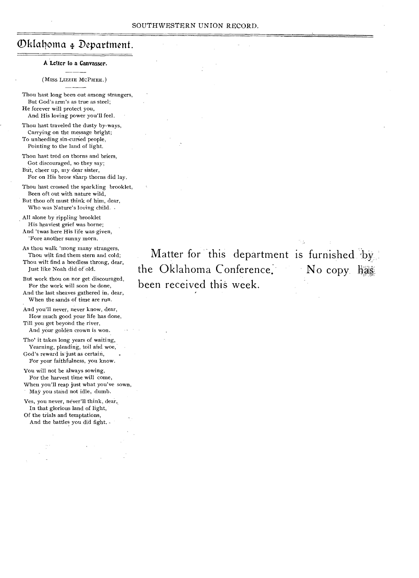# Oklahoma & Department.

#### A Letter to a Canvasser.

# (Miss LIZZIE MCPHEE.)

Thou hast long been out among strangers, But God's arm's as true as steel; He forever will protect you, And His loving power you'll feel.

Thou hast traveled the dusty by-ways, Carrying on the message bright; To unheeding sin-cursed people, Pointing to the land of light.

Thou hast trod on thorns and briers, Got discouraged, so they say; But, cheer up, my dear sister, For on His brow sharp thorns did lay.

Thou hast crossed the sparkling brooklet, Been oft out with nature wild, But thou oft must think of him, dear, Who was Nature's loving child.

All alone by rippling brooklet His heaviest grief was borne; And 'twas here His life was given, 'Fore another sunny morn.

As thou walk 'mong many strangers, Thou wilt find them stern and cold; Thou wilt find a heedless throng, dear,

Just like Noah did of old.

But work thou on nor get discouraged, For the work will soon be done, And the last sheaves gathered in, dear, When the sands of time are run.

And you'll never, never know, dear, How much good your life has done,

Till you get beyond the river, And your golden crown is won.

Tho' it takes long years of waiting, Yearning, pleading, toil and woe, God's reward is just as certain,

For your faithfulness, you know. You will not be always sowing, For the harvest time will come,

When you'll reap just what you've sown, May you stand not idle, dumb.

Yes, you never, never'll think, dear, In that glorious land of light, Of the trials and temptations,

And the battles you did fight. -

Matter for this department is furnished by the Oklahoma Conference. No copy has been received this week.